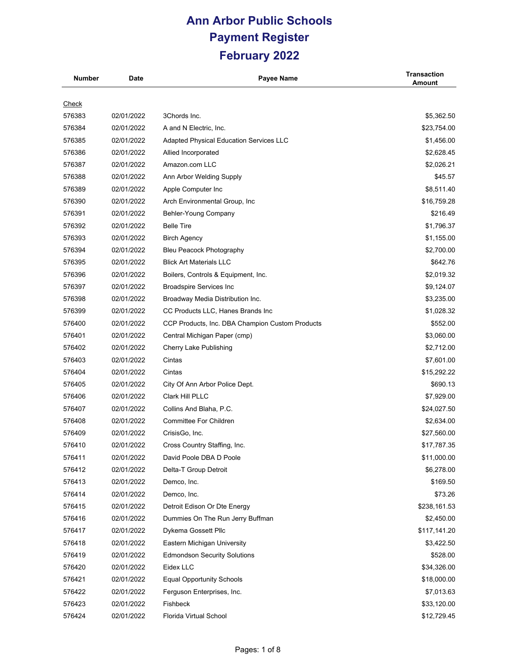| <b>Number</b> | Date       | <b>Payee Name</b>                               | <b>Transaction</b><br>Amount |
|---------------|------------|-------------------------------------------------|------------------------------|
|               |            |                                                 |                              |
| <u>Check</u>  |            |                                                 |                              |
| 576383        | 02/01/2022 | 3Chords Inc.                                    | \$5,362.50                   |
| 576384        | 02/01/2022 | A and N Electric, Inc.                          | \$23,754.00                  |
| 576385        | 02/01/2022 | <b>Adapted Physical Education Services LLC</b>  | \$1,456.00                   |
| 576386        | 02/01/2022 | Allied Incorporated                             | \$2,628.45                   |
| 576387        | 02/01/2022 | Amazon.com LLC                                  | \$2,026.21                   |
| 576388        | 02/01/2022 | Ann Arbor Welding Supply                        | \$45.57                      |
| 576389        | 02/01/2022 | Apple Computer Inc                              | \$8,511.40                   |
| 576390        | 02/01/2022 | Arch Environmental Group, Inc                   | \$16,759.28                  |
| 576391        | 02/01/2022 | Behler-Young Company                            | \$216.49                     |
| 576392        | 02/01/2022 | <b>Belle Tire</b>                               | \$1,796.37                   |
| 576393        | 02/01/2022 | <b>Birch Agency</b>                             | \$1,155.00                   |
| 576394        | 02/01/2022 | <b>Bleu Peacock Photography</b>                 | \$2,700.00                   |
| 576395        | 02/01/2022 | <b>Blick Art Materials LLC</b>                  | \$642.76                     |
| 576396        | 02/01/2022 | Boilers, Controls & Equipment, Inc.             | \$2,019.32                   |
| 576397        | 02/01/2022 | <b>Broadspire Services Inc</b>                  | \$9,124.07                   |
| 576398        | 02/01/2022 | Broadway Media Distribution Inc.                | \$3,235.00                   |
| 576399        | 02/01/2022 | CC Products LLC, Hanes Brands Inc               | \$1,028.32                   |
| 576400        | 02/01/2022 | CCP Products, Inc. DBA Champion Custom Products | \$552.00                     |
| 576401        | 02/01/2022 | Central Michigan Paper (cmp)                    | \$3,060.00                   |
| 576402        | 02/01/2022 | Cherry Lake Publishing                          | \$2,712.00                   |
| 576403        | 02/01/2022 | Cintas                                          | \$7,601.00                   |
| 576404        | 02/01/2022 | Cintas                                          | \$15,292.22                  |
| 576405        | 02/01/2022 | City Of Ann Arbor Police Dept.                  | \$690.13                     |
| 576406        | 02/01/2022 | Clark Hill PLLC                                 | \$7,929.00                   |
| 576407        | 02/01/2022 | Collins And Blaha, P.C.                         | \$24,027.50                  |
| 576408        | 02/01/2022 | <b>Committee For Children</b>                   | \$2,634.00                   |
| 576409        | 02/01/2022 | CrisisGo, Inc.                                  | \$27,560.00                  |
| 576410        | 02/01/2022 | Cross Country Staffing, Inc.                    | \$17,787.35                  |
| 576411        | 02/01/2022 | David Poole DBA D Poole                         | \$11,000.00                  |
| 576412        | 02/01/2022 | Delta-T Group Detroit                           | \$6,278.00                   |
| 576413        | 02/01/2022 | Demco, Inc.                                     | \$169.50                     |
| 576414        | 02/01/2022 | Demco, Inc.                                     | \$73.26                      |
| 576415        | 02/01/2022 | Detroit Edison Or Dte Energy                    | \$238,161.53                 |
| 576416        | 02/01/2022 | Dummies On The Run Jerry Buffman                | \$2,450.00                   |
| 576417        | 02/01/2022 | Dykema Gossett Pllc                             | \$117,141.20                 |
| 576418        | 02/01/2022 | Eastern Michigan University                     | \$3,422.50                   |
| 576419        | 02/01/2022 | <b>Edmondson Security Solutions</b>             | \$528.00                     |
| 576420        | 02/01/2022 | Eidex LLC                                       | \$34,326.00                  |
| 576421        | 02/01/2022 | <b>Equal Opportunity Schools</b>                | \$18,000.00                  |
| 576422        | 02/01/2022 | Ferguson Enterprises, Inc.                      | \$7,013.63                   |
| 576423        | 02/01/2022 | Fishbeck                                        | \$33,120.00                  |
| 576424        | 02/01/2022 | Florida Virtual School                          | \$12,729.45                  |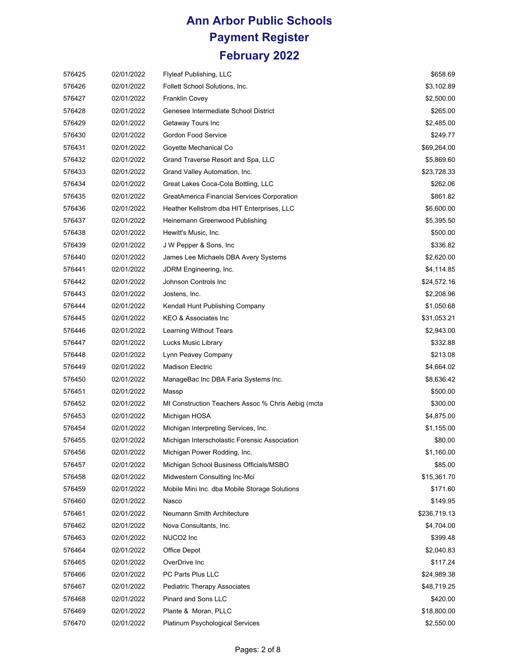| 576425 | 02/01/2022 | <b>Flyleaf Publishing, LLC</b>                     | \$658.69     |
|--------|------------|----------------------------------------------------|--------------|
| 576426 | 02/01/2022 | Follett School Solutions, Inc.                     | \$3,102.89   |
| 576427 | 02/01/2022 | <b>Franklin Covey</b>                              | \$2,500.00   |
| 576428 | 02/01/2022 | Genesee Intermediate School District               | \$265.00     |
| 576429 | 02/01/2022 | Getaway Tours Inc                                  | \$2,485.00   |
| 576430 | 02/01/2022 | Gordon Food Service                                | \$249.77     |
| 576431 | 02/01/2022 | Goyette Mechanical Co                              | \$69,264.00  |
| 576432 | 02/01/2022 | Grand Traverse Resort and Spa, LLC                 | \$5,869.60   |
| 576433 | 02/01/2022 | Grand Valley Automation, Inc.                      | \$23,728.33  |
| 576434 | 02/01/2022 | Great Lakes Coca-Cola Bottling, LLC                | \$262.06     |
| 576435 | 02/01/2022 | GreatAmerica Financial Services Corporation        | \$861.82     |
| 576436 | 02/01/2022 | Heather Kellstrom dba HIT Enterprises, LLC         | \$6,600.00   |
| 576437 | 02/01/2022 | Heinemann Greenwood Publishing                     | \$5,395.50   |
| 576438 | 02/01/2022 | Hewitt's Music, Inc.                               | \$500.00     |
| 576439 | 02/01/2022 | J W Pepper & Sons, Inc.                            | \$336.82     |
| 576440 | 02/01/2022 | James Lee Michaels DBA Avery Systems               | \$2,620.00   |
| 576441 | 02/01/2022 | JDRM Engineering, Inc.                             | \$4,114.85   |
| 576442 | 02/01/2022 | Johnson Controls Inc                               | \$24,572.16  |
| 576443 | 02/01/2022 | Jostens, Inc.                                      | \$2,208.96   |
| 576444 | 02/01/2022 | Kendall Hunt Publishing Company                    | \$1,050.68   |
| 576445 | 02/01/2022 | KEO & Associates Inc                               | \$31,053.21  |
| 576446 | 02/01/2022 | Learning Without Tears                             | \$2,943.00   |
| 576447 | 02/01/2022 | Lucks Music Library                                | \$332.88     |
| 576448 | 02/01/2022 | Lynn Peavey Company                                | \$213.08     |
| 576449 | 02/01/2022 | <b>Madison Electric</b>                            | \$4,664.02   |
| 576450 | 02/01/2022 | ManageBac Inc DBA Faria Systems Inc.               | \$8,636.42   |
| 576451 | 02/01/2022 | Massp                                              | \$500.00     |
| 576452 | 02/01/2022 | MI Construction Teachers Assoc % Chris Aebig (mcta | \$300.00     |
| 576453 | 02/01/2022 | Michigan HOSA                                      | \$4,875.00   |
| 576454 | 02/01/2022 | Michigan Interpreting Services, Inc.               | \$1,155.00   |
| 576455 | 02/01/2022 | Michigan Interscholastic Forensic Association      | \$80.00      |
| 576456 | 02/01/2022 | Michigan Power Rodding, Inc.                       | \$1,160.00   |
| 576457 | 02/01/2022 | Michigan School Business Officials/MSBO            | \$85.00      |
| 576458 | 02/01/2022 | Midwestern Consulting Inc-Mci                      | \$15,361.70  |
| 576459 | 02/01/2022 | Mobile Mini Inc. dba Mobile Storage Solutions      | \$171.60     |
| 576460 | 02/01/2022 | Nasco                                              | \$149.95     |
| 576461 | 02/01/2022 | Neumann Smith Architecture                         | \$236,719.13 |
| 576462 | 02/01/2022 | Nova Consultants, Inc.                             | \$4,704.00   |
| 576463 | 02/01/2022 | NUCO <sub>2</sub> Inc                              | \$399.48     |
| 576464 | 02/01/2022 | Office Depot                                       | \$2,040.83   |
| 576465 | 02/01/2022 | OverDrive Inc                                      | \$117.24     |
| 576466 | 02/01/2022 | PC Parts Plus LLC                                  | \$24,989.38  |
| 576467 | 02/01/2022 | Pediatric Therapy Associates                       | \$48,719.25  |
| 576468 | 02/01/2022 | Pinard and Sons LLC                                | \$420.00     |
| 576469 | 02/01/2022 | Plante & Moran, PLLC                               | \$18,800.00  |
| 576470 | 02/01/2022 | Platinum Psychological Services                    | \$2,550.00   |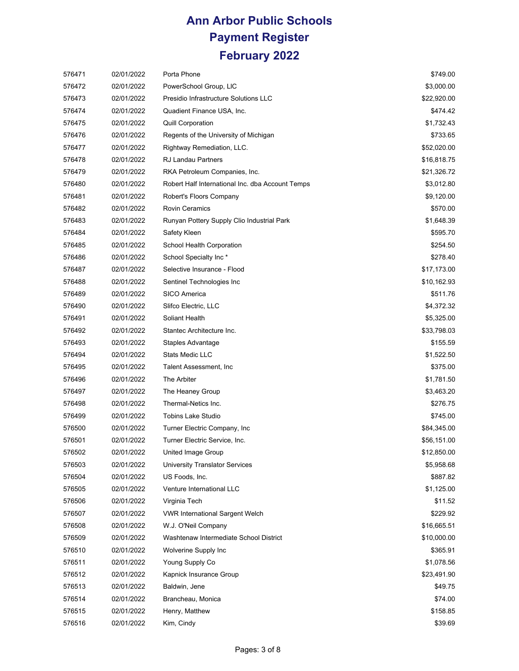| 576471 | 02/01/2022 | Porta Phone                                      | \$749.00    |
|--------|------------|--------------------------------------------------|-------------|
| 576472 | 02/01/2022 | PowerSchool Group, LIC                           | \$3,000.00  |
| 576473 | 02/01/2022 | Presidio Infrastructure Solutions LLC            | \$22,920.00 |
| 576474 | 02/01/2022 | Quadient Finance USA, Inc.                       | \$474.42    |
| 576475 | 02/01/2022 | <b>Quill Corporation</b>                         | \$1,732.43  |
| 576476 | 02/01/2022 | Regents of the University of Michigan            | \$733.65    |
| 576477 | 02/01/2022 | Rightway Remediation, LLC.                       | \$52,020.00 |
| 576478 | 02/01/2022 | <b>RJ Landau Partners</b>                        | \$16,818.75 |
| 576479 | 02/01/2022 | RKA Petroleum Companies, Inc.                    | \$21,326.72 |
| 576480 | 02/01/2022 | Robert Half International Inc. dba Account Temps | \$3,012.80  |
| 576481 | 02/01/2022 | Robert's Floors Company                          | \$9,120.00  |
| 576482 | 02/01/2022 | <b>Rovin Ceramics</b>                            | \$570.00    |
| 576483 | 02/01/2022 | Runyan Pottery Supply Clio Industrial Park       | \$1,648.39  |
| 576484 | 02/01/2022 | Safety Kleen                                     | \$595.70    |
| 576485 | 02/01/2022 | School Health Corporation                        | \$254.50    |
| 576486 | 02/01/2022 | School Specialty Inc*                            | \$278.40    |
| 576487 | 02/01/2022 | Selective Insurance - Flood                      | \$17,173.00 |
| 576488 | 02/01/2022 | Sentinel Technologies Inc                        | \$10,162.93 |
| 576489 | 02/01/2022 | <b>SICO America</b>                              | \$511.76    |
| 576490 | 02/01/2022 | Slifco Electric, LLC                             | \$4,372.32  |
| 576491 | 02/01/2022 | Soliant Health                                   | \$5,325.00  |
| 576492 | 02/01/2022 | Stantec Architecture Inc.                        | \$33,798.03 |
| 576493 | 02/01/2022 | Staples Advantage                                | \$155.59    |
| 576494 | 02/01/2022 | <b>Stats Medic LLC</b>                           | \$1,522.50  |
| 576495 | 02/01/2022 | Talent Assessment, Inc.                          | \$375.00    |
| 576496 | 02/01/2022 | The Arbiter                                      | \$1,781.50  |
| 576497 | 02/01/2022 | The Heaney Group                                 | \$3,463.20  |
| 576498 | 02/01/2022 | Thermal-Netics Inc.                              | \$276.75    |
| 576499 | 02/01/2022 | <b>Tobins Lake Studio</b>                        | \$745.00    |
| 576500 | 02/01/2022 | Turner Electric Company, Inc.                    | \$84,345.00 |
| 576501 | 02/01/2022 | Turner Electric Service, Inc.                    | \$56,151.00 |
| 576502 | 02/01/2022 | United Image Group                               | \$12,850.00 |
| 576503 | 02/01/2022 | University Translator Services                   | \$5,958.68  |
| 576504 | 02/01/2022 | US Foods, Inc.                                   | \$887.82    |
| 576505 | 02/01/2022 | Venture International LLC                        | \$1,125.00  |
| 576506 | 02/01/2022 | Virginia Tech                                    | \$11.52     |
| 576507 | 02/01/2022 | <b>VWR International Sargent Welch</b>           | \$229.92    |
| 576508 | 02/01/2022 | W.J. O'Neil Company                              | \$16,665.51 |
| 576509 | 02/01/2022 | Washtenaw Intermediate School District           | \$10,000.00 |
| 576510 | 02/01/2022 | Wolverine Supply Inc                             | \$365.91    |
| 576511 | 02/01/2022 | Young Supply Co                                  | \$1,078.56  |
| 576512 | 02/01/2022 | Kapnick Insurance Group                          | \$23,491.90 |
| 576513 | 02/01/2022 | Baldwin, Jene                                    | \$49.75     |
| 576514 | 02/01/2022 | Brancheau, Monica                                | \$74.00     |
| 576515 | 02/01/2022 | Henry, Matthew                                   | \$158.85    |
| 576516 | 02/01/2022 | Kim, Cindy                                       | \$39.69     |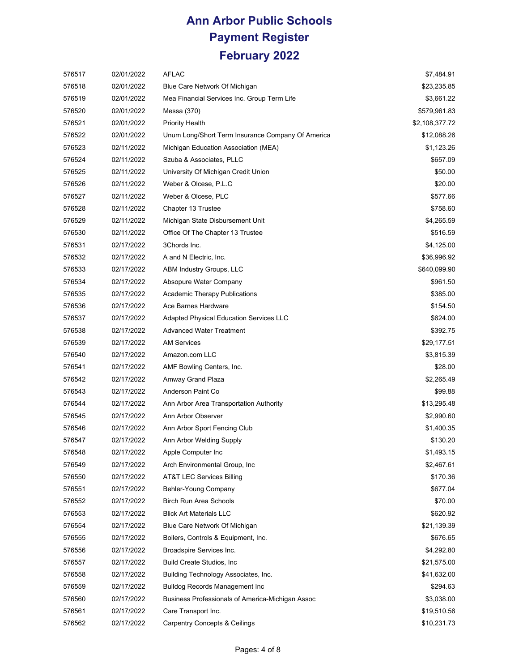| 576517 | 02/01/2022 | AFLAC                                             | \$7,484.91     |
|--------|------------|---------------------------------------------------|----------------|
| 576518 | 02/01/2022 | Blue Care Network Of Michigan                     | \$23,235.85    |
| 576519 | 02/01/2022 | Mea Financial Services Inc. Group Term Life       | \$3,661.22     |
| 576520 | 02/01/2022 | Messa (370)                                       | \$579,961.83   |
| 576521 | 02/01/2022 | <b>Priority Health</b>                            | \$2,108,377.72 |
| 576522 | 02/01/2022 | Unum Long/Short Term Insurance Company Of America | \$12,088.26    |
| 576523 | 02/11/2022 | Michigan Education Association (MEA)              | \$1,123.26     |
| 576524 | 02/11/2022 | Szuba & Associates, PLLC                          | \$657.09       |
| 576525 | 02/11/2022 | University Of Michigan Credit Union               | \$50.00        |
| 576526 | 02/11/2022 | Weber & Olcese, P.L.C                             | \$20.00        |
| 576527 | 02/11/2022 | Weber & Olcese, PLC                               | \$577.66       |
| 576528 | 02/11/2022 | Chapter 13 Trustee                                | \$758.60       |
| 576529 | 02/11/2022 | Michigan State Disbursement Unit                  | \$4,265.59     |
| 576530 | 02/11/2022 | Office Of The Chapter 13 Trustee                  | \$516.59       |
| 576531 | 02/17/2022 | 3Chords Inc.                                      | \$4,125.00     |
| 576532 | 02/17/2022 | A and N Electric, Inc.                            | \$36,996.92    |
| 576533 | 02/17/2022 | ABM Industry Groups, LLC                          | \$640,099.90   |
| 576534 | 02/17/2022 | Absopure Water Company                            | \$961.50       |
| 576535 | 02/17/2022 | <b>Academic Therapy Publications</b>              | \$385.00       |
| 576536 | 02/17/2022 | Ace Barnes Hardware                               | \$154.50       |
| 576537 | 02/17/2022 | <b>Adapted Physical Education Services LLC</b>    | \$624.00       |
| 576538 | 02/17/2022 | <b>Advanced Water Treatment</b>                   | \$392.75       |
| 576539 | 02/17/2022 | <b>AM Services</b>                                | \$29,177.51    |
| 576540 | 02/17/2022 | Amazon.com LLC                                    | \$3,815.39     |
| 576541 | 02/17/2022 | AMF Bowling Centers, Inc.                         | \$28.00        |
| 576542 | 02/17/2022 | Amway Grand Plaza                                 | \$2,265.49     |
| 576543 | 02/17/2022 | Anderson Paint Co                                 | \$99.88        |
| 576544 | 02/17/2022 | Ann Arbor Area Transportation Authority           | \$13,295.48    |
| 576545 | 02/17/2022 | Ann Arbor Observer                                | \$2,990.60     |
| 576546 | 02/17/2022 | Ann Arbor Sport Fencing Club                      | \$1,400.35     |
| 576547 | 02/17/2022 | Ann Arbor Welding Supply                          | \$130.20       |
| 576548 | 02/17/2022 | Apple Computer Inc                                | \$1,493.15     |
| 576549 | 02/17/2022 | Arch Environmental Group, Inc.                    | \$2,467.61     |
| 576550 | 02/17/2022 | AT&T LEC Services Billing                         | \$170.36       |
| 576551 | 02/17/2022 | Behler-Young Company                              | \$677.04       |
| 576552 | 02/17/2022 | Birch Run Area Schools                            | \$70.00        |
| 576553 | 02/17/2022 | <b>Blick Art Materials LLC</b>                    | \$620.92       |
| 576554 | 02/17/2022 | Blue Care Network Of Michigan                     | \$21,139.39    |
| 576555 | 02/17/2022 | Boilers, Controls & Equipment, Inc.               | \$676.65       |
| 576556 | 02/17/2022 | Broadspire Services Inc.                          | \$4,292.80     |
| 576557 | 02/17/2022 | Build Create Studios, Inc.                        | \$21,575.00    |
| 576558 | 02/17/2022 | Building Technology Associates, Inc.              | \$41,632.00    |
| 576559 | 02/17/2022 | <b>Bulldog Records Management Inc</b>             | \$294.63       |
| 576560 | 02/17/2022 | Business Professionals of America-Michigan Assoc  | \$3,038.00     |
| 576561 | 02/17/2022 | Care Transport Inc.                               | \$19,510.56    |
| 576562 | 02/17/2022 | <b>Carpentry Concepts &amp; Ceilings</b>          | \$10,231.73    |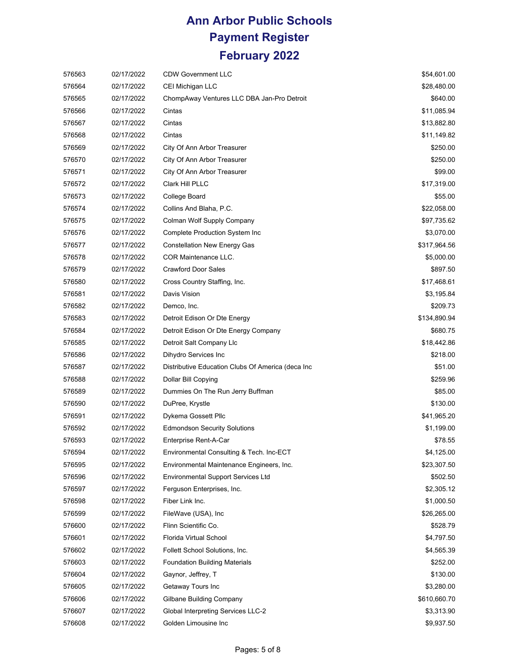| 576563 | 02/17/2022 | <b>CDW Government LLC</b>                         | \$54,601.00  |
|--------|------------|---------------------------------------------------|--------------|
| 576564 | 02/17/2022 | CEI Michigan LLC                                  | \$28,480.00  |
| 576565 | 02/17/2022 | ChompAway Ventures LLC DBA Jan-Pro Detroit        | \$640.00     |
| 576566 | 02/17/2022 | Cintas                                            | \$11,085.94  |
| 576567 | 02/17/2022 | Cintas                                            | \$13,882.80  |
| 576568 | 02/17/2022 | Cintas                                            | \$11,149.82  |
| 576569 | 02/17/2022 | City Of Ann Arbor Treasurer                       | \$250.00     |
| 576570 | 02/17/2022 | City Of Ann Arbor Treasurer                       | \$250.00     |
| 576571 | 02/17/2022 | City Of Ann Arbor Treasurer                       | \$99.00      |
| 576572 | 02/17/2022 | Clark Hill PLLC                                   | \$17,319.00  |
| 576573 | 02/17/2022 | College Board                                     | \$55.00      |
| 576574 | 02/17/2022 | Collins And Blaha, P.C.                           | \$22,058.00  |
| 576575 | 02/17/2022 | Colman Wolf Supply Company                        | \$97,735.62  |
| 576576 | 02/17/2022 | <b>Complete Production System Inc</b>             | \$3,070.00   |
| 576577 | 02/17/2022 | <b>Constellation New Energy Gas</b>               | \$317,964.56 |
| 576578 | 02/17/2022 | COR Maintenance LLC.                              | \$5,000.00   |
| 576579 | 02/17/2022 | <b>Crawford Door Sales</b>                        | \$897.50     |
| 576580 | 02/17/2022 | Cross Country Staffing, Inc.                      | \$17,468.61  |
| 576581 | 02/17/2022 | Davis Vision                                      | \$3,195.84   |
| 576582 | 02/17/2022 | Demco, Inc.                                       | \$209.73     |
| 576583 | 02/17/2022 | Detroit Edison Or Dte Energy                      | \$134,890.94 |
| 576584 | 02/17/2022 | Detroit Edison Or Dte Energy Company              | \$680.75     |
| 576585 | 02/17/2022 | Detroit Salt Company Llc                          | \$18,442.86  |
| 576586 | 02/17/2022 | Dihydro Services Inc                              | \$218.00     |
| 576587 | 02/17/2022 | Distributive Education Clubs Of America (deca Inc | \$51.00      |
| 576588 | 02/17/2022 | Dollar Bill Copying                               | \$259.96     |
| 576589 | 02/17/2022 | Dummies On The Run Jerry Buffman                  | \$85.00      |
| 576590 | 02/17/2022 | DuPree, Krystle                                   | \$130.00     |
| 576591 | 02/17/2022 | Dykema Gossett Pllc                               | \$41,965.20  |
| 576592 | 02/17/2022 | <b>Edmondson Security Solutions</b>               | \$1,199.00   |
| 576593 | 02/17/2022 | Enterprise Rent-A-Car                             | \$78.55      |
| 576594 | 02/17/2022 | Environmental Consulting & Tech. Inc-ECT          | \$4,125.00   |
| 576595 | 02/17/2022 | Environmental Maintenance Engineers, Inc.         | \$23,307.50  |
| 576596 | 02/17/2022 | <b>Environmental Support Services Ltd</b>         | \$502.50     |
| 576597 | 02/17/2022 | Ferguson Enterprises, Inc.                        | \$2,305.12   |
| 576598 | 02/17/2022 | Fiber Link Inc.                                   | \$1,000.50   |
| 576599 | 02/17/2022 | FileWave (USA), Inc.                              | \$26,265.00  |
| 576600 | 02/17/2022 | Flinn Scientific Co.                              | \$528.79     |
| 576601 | 02/17/2022 | Florida Virtual School                            | \$4,797.50   |
| 576602 | 02/17/2022 | Follett School Solutions, Inc.                    | \$4,565.39   |
| 576603 | 02/17/2022 | <b>Foundation Building Materials</b>              | \$252.00     |
| 576604 | 02/17/2022 | Gaynor, Jeffrey, T                                | \$130.00     |
| 576605 | 02/17/2022 | Getaway Tours Inc                                 | \$3,280.00   |
| 576606 | 02/17/2022 | Gilbane Building Company                          | \$610,660.70 |
| 576607 | 02/17/2022 | <b>Global Interpreting Services LLC-2</b>         | \$3,313.90   |
| 576608 | 02/17/2022 | Golden Limousine Inc                              | \$9,937.50   |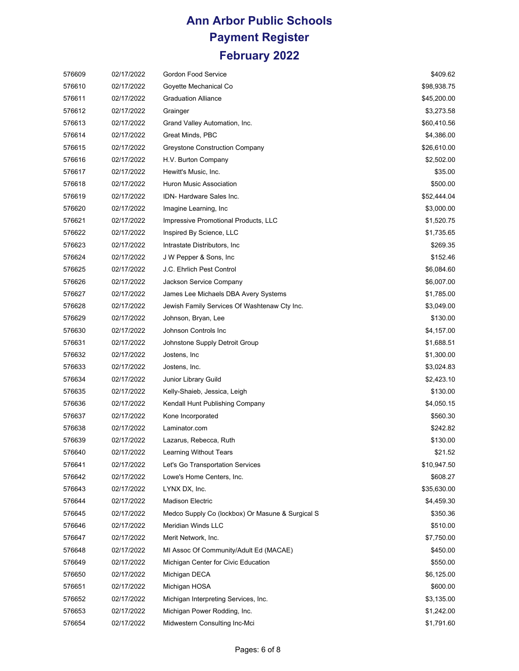| 576609 | 02/17/2022 | Gordon Food Service                              | \$409.62    |
|--------|------------|--------------------------------------------------|-------------|
| 576610 | 02/17/2022 | Goyette Mechanical Co                            | \$98,938.75 |
| 576611 | 02/17/2022 | <b>Graduation Alliance</b>                       | \$45,200.00 |
| 576612 | 02/17/2022 | Grainger                                         | \$3,273.58  |
| 576613 | 02/17/2022 | Grand Valley Automation, Inc.                    | \$60,410.56 |
| 576614 | 02/17/2022 | Great Minds, PBC                                 | \$4,386.00  |
| 576615 | 02/17/2022 | Greystone Construction Company                   | \$26,610.00 |
| 576616 | 02/17/2022 | H.V. Burton Company                              | \$2,502.00  |
| 576617 | 02/17/2022 | Hewitt's Music, Inc.                             | \$35.00     |
| 576618 | 02/17/2022 | Huron Music Association                          | \$500.00    |
| 576619 | 02/17/2022 | IDN- Hardware Sales Inc.                         | \$52,444.04 |
| 576620 | 02/17/2022 | Imagine Learning, Inc.                           | \$3,000.00  |
| 576621 | 02/17/2022 | Impressive Promotional Products, LLC             | \$1,520.75  |
| 576622 | 02/17/2022 | Inspired By Science, LLC                         | \$1,735.65  |
| 576623 | 02/17/2022 | Intrastate Distributors, Inc.                    | \$269.35    |
| 576624 | 02/17/2022 | J W Pepper & Sons, Inc.                          | \$152.46    |
| 576625 | 02/17/2022 | J.C. Ehrlich Pest Control                        | \$6,084.60  |
| 576626 | 02/17/2022 | Jackson Service Company                          | \$6,007.00  |
| 576627 | 02/17/2022 | James Lee Michaels DBA Avery Systems             | \$1,785.00  |
| 576628 | 02/17/2022 | Jewish Family Services Of Washtenaw Cty Inc.     | \$3,049.00  |
| 576629 | 02/17/2022 | Johnson, Bryan, Lee                              | \$130.00    |
| 576630 | 02/17/2022 | Johnson Controls Inc                             | \$4,157.00  |
| 576631 | 02/17/2022 | Johnstone Supply Detroit Group                   | \$1,688.51  |
| 576632 | 02/17/2022 | Jostens, Inc                                     | \$1,300.00  |
| 576633 | 02/17/2022 | Jostens, Inc.                                    | \$3,024.83  |
| 576634 | 02/17/2022 | Junior Library Guild                             | \$2,423.10  |
| 576635 | 02/17/2022 | Kelly-Shaieb, Jessica, Leigh                     | \$130.00    |
| 576636 | 02/17/2022 | Kendall Hunt Publishing Company                  | \$4,050.15  |
| 576637 | 02/17/2022 | Kone Incorporated                                | \$560.30    |
| 576638 | 02/17/2022 | Laminator.com                                    | \$242.82    |
| 576639 | 02/17/2022 | Lazarus, Rebecca, Ruth                           | \$130.00    |
| 576640 | 02/17/2022 | <b>Learning Without Tears</b>                    | \$21.52     |
| 576641 | 02/17/2022 | Let's Go Transportation Services                 | \$10,947.50 |
| 576642 | 02/17/2022 | Lowe's Home Centers, Inc.                        | \$608.27    |
| 576643 | 02/17/2022 | LYNX DX, Inc.                                    | \$35,630.00 |
| 576644 | 02/17/2022 | <b>Madison Electric</b>                          | \$4,459.30  |
| 576645 | 02/17/2022 | Medco Supply Co (lockbox) Or Masune & Surgical S | \$350.36    |
| 576646 | 02/17/2022 | Meridian Winds LLC                               | \$510.00    |
| 576647 | 02/17/2022 | Merit Network, Inc.                              | \$7,750.00  |
| 576648 | 02/17/2022 | MI Assoc Of Community/Adult Ed (MACAE)           | \$450.00    |
| 576649 | 02/17/2022 | Michigan Center for Civic Education              | \$550.00    |
| 576650 | 02/17/2022 | Michigan DECA                                    | \$6,125.00  |
| 576651 | 02/17/2022 | Michigan HOSA                                    | \$600.00    |
| 576652 | 02/17/2022 | Michigan Interpreting Services, Inc.             | \$3,135.00  |
| 576653 | 02/17/2022 | Michigan Power Rodding, Inc.                     | \$1,242.00  |
| 576654 | 02/17/2022 | Midwestern Consulting Inc-Mci                    | \$1,791.60  |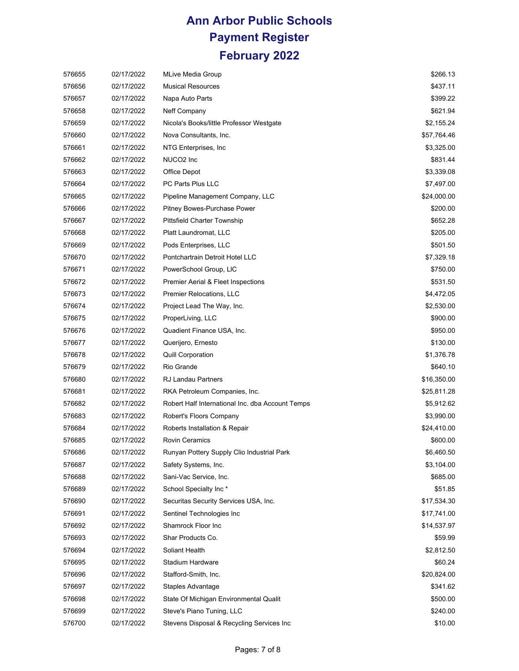| 576655 | 02/17/2022 | MLive Media Group                                | \$266.13    |
|--------|------------|--------------------------------------------------|-------------|
| 576656 | 02/17/2022 | <b>Musical Resources</b>                         | \$437.11    |
| 576657 | 02/17/2022 | Napa Auto Parts                                  | \$399.22    |
| 576658 | 02/17/2022 | Neff Company                                     | \$621.94    |
| 576659 | 02/17/2022 | Nicola's Books/little Professor Westgate         | \$2,155.24  |
| 576660 | 02/17/2022 | Nova Consultants, Inc.                           | \$57,764.46 |
| 576661 | 02/17/2022 | NTG Enterprises, Inc.                            | \$3,325.00  |
| 576662 | 02/17/2022 | NUCO <sub>2</sub> Inc                            | \$831.44    |
| 576663 | 02/17/2022 | Office Depot                                     | \$3,339.08  |
| 576664 | 02/17/2022 | PC Parts Plus LLC                                | \$7,497.00  |
| 576665 | 02/17/2022 | Pipeline Management Company, LLC                 | \$24,000.00 |
| 576666 | 02/17/2022 | Pitney Bowes-Purchase Power                      | \$200.00    |
| 576667 | 02/17/2022 | <b>Pittsfield Charter Township</b>               | \$652.28    |
| 576668 | 02/17/2022 | Platt Laundromat, LLC                            | \$205.00    |
| 576669 | 02/17/2022 | Pods Enterprises, LLC                            | \$501.50    |
| 576670 | 02/17/2022 | Pontchartrain Detroit Hotel LLC                  | \$7,329.18  |
| 576671 | 02/17/2022 | PowerSchool Group, LIC                           | \$750.00    |
| 576672 | 02/17/2022 | Premier Aerial & Fleet Inspections               | \$531.50    |
| 576673 | 02/17/2022 | <b>Premier Relocations, LLC</b>                  | \$4,472.05  |
| 576674 | 02/17/2022 | Project Lead The Way, Inc.                       | \$2,530.00  |
| 576675 | 02/17/2022 | ProperLiving, LLC                                | \$900.00    |
| 576676 | 02/17/2022 | Quadient Finance USA, Inc.                       | \$950.00    |
| 576677 | 02/17/2022 | Querijero, Ernesto                               | \$130.00    |
| 576678 | 02/17/2022 | <b>Quill Corporation</b>                         | \$1,376.78  |
| 576679 | 02/17/2022 | Rio Grande                                       | \$640.10    |
| 576680 | 02/17/2022 | RJ Landau Partners                               | \$16,350.00 |
| 576681 | 02/17/2022 | RKA Petroleum Companies, Inc.                    | \$25,811.28 |
| 576682 | 02/17/2022 | Robert Half International Inc. dba Account Temps | \$5,912.62  |
| 576683 | 02/17/2022 | Robert's Floors Company                          | \$3,990.00  |
| 576684 | 02/17/2022 | Roberts Installation & Repair                    | \$24,410.00 |
| 576685 | 02/17/2022 | <b>Rovin Ceramics</b>                            | \$600.00    |
| 576686 | 02/17/2022 | Runyan Pottery Supply Clio Industrial Park       | \$6,460.50  |
| 576687 | 02/17/2022 | Safety Systems, Inc.                             | \$3,104.00  |
| 576688 | 02/17/2022 | Sani-Vac Service, Inc.                           | \$685.00    |
| 576689 | 02/17/2022 | School Specialty Inc*                            | \$51.85     |
| 576690 | 02/17/2022 | Securitas Security Services USA, Inc.            | \$17,534.30 |
| 576691 | 02/17/2022 | Sentinel Technologies Inc                        | \$17,741.00 |
| 576692 | 02/17/2022 | Shamrock Floor Inc                               | \$14,537.97 |
| 576693 | 02/17/2022 | Shar Products Co.                                | \$59.99     |
| 576694 | 02/17/2022 | Soliant Health                                   | \$2,812.50  |
| 576695 | 02/17/2022 | Stadium Hardware                                 | \$60.24     |
| 576696 | 02/17/2022 | Stafford-Smith, Inc.                             | \$20,824.00 |
| 576697 | 02/17/2022 | Staples Advantage                                | \$341.62    |
| 576698 | 02/17/2022 | State Of Michigan Environmental Qualit           | \$500.00    |
| 576699 | 02/17/2022 | Steve's Piano Tuning, LLC                        | \$240.00    |
| 576700 | 02/17/2022 | Stevens Disposal & Recycling Services Inc        | \$10.00     |